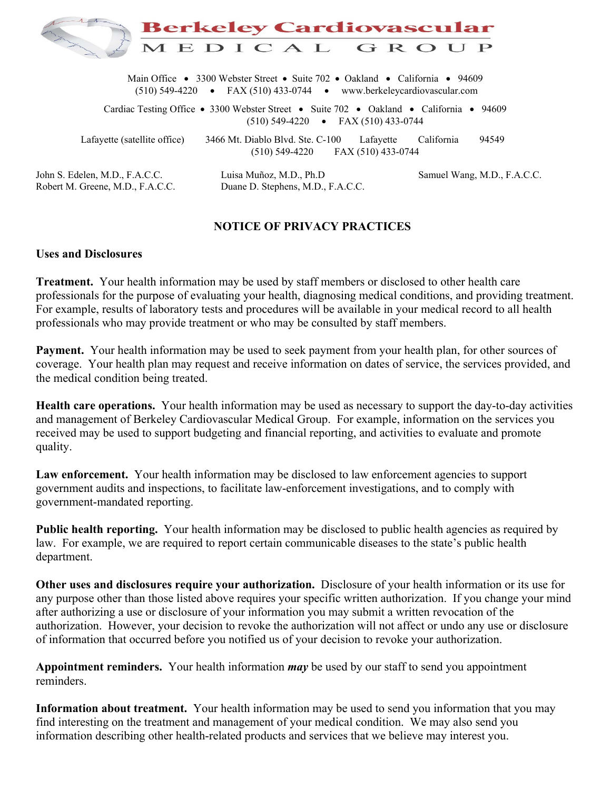

Main Office • 3300 Webster Street • Suite 702 • Oakland • California • 94609 (510) 549-4220 FAX (510) 433-0744 www.berkeleycardiovascular.com Cardiac Testing Office • 3300 Webster Street • Suite 702 • Oakland • California • 94609 (510) 549-4220 FAX (510) 433-0744 Lafayette (satellite office) 3466 Mt. Diablo Blvd. Ste. C-100 Lafayette California 94549 (510) 549-4220 FAX (510) 433-0744 John S. Edelen, M.D., F.A.C.C. Luisa Muñoz, M.D., Ph.D Samuel Wang, M.D., F.A.C.C. Robert M. Greene, M.D., F.A.C.C. Duane D. Stephens, M.D., F.A.C.C.

## **NOTICE OF PRIVACY PRACTICES**

## **Uses and Disclosures**

**Treatment.** Your health information may be used by staff members or disclosed to other health care professionals for the purpose of evaluating your health, diagnosing medical conditions, and providing treatment. For example, results of laboratory tests and procedures will be available in your medical record to all health professionals who may provide treatment or who may be consulted by staff members.

**Payment.** Your health information may be used to seek payment from your health plan, for other sources of coverage. Your health plan may request and receive information on dates of service, the services provided, and the medical condition being treated.

**Health care operations.** Your health information may be used as necessary to support the day-to-day activities and management of Berkeley Cardiovascular Medical Group. For example, information on the services you received may be used to support budgeting and financial reporting, and activities to evaluate and promote quality.

Law enforcement. Your health information may be disclosed to law enforcement agencies to support government audits and inspections, to facilitate law-enforcement investigations, and to comply with government-mandated reporting.

**Public health reporting.** Your health information may be disclosed to public health agencies as required by law. For example, we are required to report certain communicable diseases to the state's public health department.

**Other uses and disclosures require your authorization.** Disclosure of your health information or its use for any purpose other than those listed above requires your specific written authorization. If you change your mind after authorizing a use or disclosure of your information you may submit a written revocation of the authorization. However, your decision to revoke the authorization will not affect or undo any use or disclosure of information that occurred before you notified us of your decision to revoke your authorization.

**Appointment reminders.** Your health information *may* be used by our staff to send you appointment reminders.

**Information about treatment.** Your health information may be used to send you information that you may find interesting on the treatment and management of your medical condition. We may also send you information describing other health-related products and services that we believe may interest you.